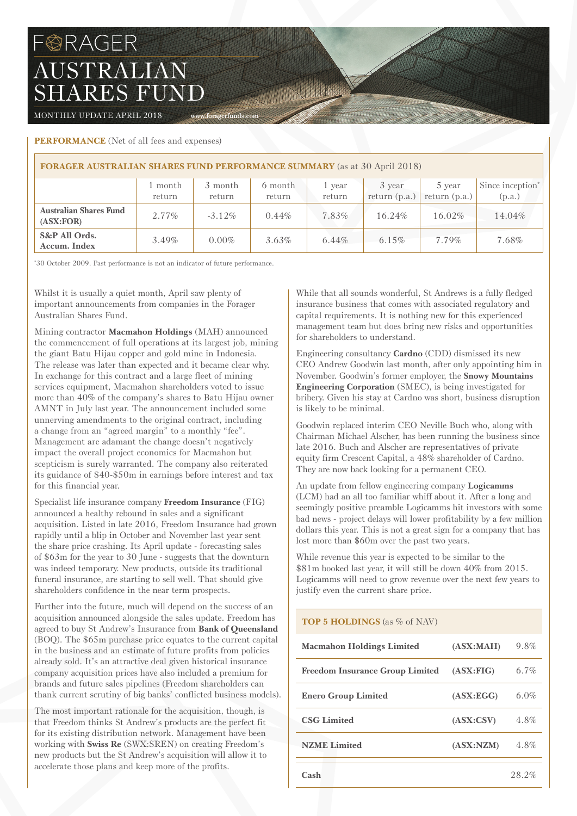## FORAGER AUSTRALIAN SHARES FUND

MONTHLY UPDATE APRIL 2018 www.foragerfunds.com

## **PERFORMANCE** (Net of all fees and expenses)

| <b>FORAGER AUSTRALIAN SHARES FUND PERFORMANCE SUMMARY</b> (as at 30 April 2018) |                   |                   |                   |                  |                           |                           |                                        |  |
|---------------------------------------------------------------------------------|-------------------|-------------------|-------------------|------------------|---------------------------|---------------------------|----------------------------------------|--|
|                                                                                 | 1 month<br>return | 3 month<br>return | 6 month<br>return | 1 year<br>return | 3 year<br>return $(p.a.)$ | 5 year<br>return $(p.a.)$ | Since inception <sup>*</sup><br>(p.a.) |  |
| <b>Australian Shares Fund</b><br>(ASK:FOR)                                      | $2.77\%$          | $-3.12\%$         | $0.44\%$          | 7.83%            | $16.24\%$                 | 16.02%                    | 14.04%                                 |  |
| S&P All Ords.<br>Accum. Index                                                   | $3.49\%$          | $0.00\%$          | $3.63\%$          | 6.44%            | $6.15\%$                  | 7.79%                     | 7.68%                                  |  |

The Company of the Company of the Company of

\* 30 October 2009. Past performance is not an indicator of future performance.

Whilst it is usually a quiet month, April saw plenty of important announcements from companies in the Forager Australian Shares Fund.

Mining contractor **Macmahon Holdings** (MAH) announced the commencement of full operations at its largest job, mining the giant Batu Hijau copper and gold mine in Indonesia. The release was later than expected and it became clear why. In exchange for this contract and a large fleet of mining services equipment, Macmahon shareholders voted to issue more than 40% of the company's shares to Batu Hijau owner AMNT in July last year. The announcement included some unnerving amendments to the original contract, including a change from an "agreed margin" to a monthly "fee". Management are adamant the change doesn't negatively impact the overall project economics for Macmahon but scepticism is surely warranted. The company also reiterated its guidance of \$40-\$50m in earnings before interest and tax for this financial year.

Specialist life insurance company **Freedom Insurance** (FIG) announced a healthy rebound in sales and a significant acquisition. Listed in late 2016, Freedom Insurance had grown rapidly until a blip in October and November last year sent the share price crashing. Its April update - forecasting sales of \$63m for the year to 30 June - suggests that the downturn was indeed temporary. New products, outside its traditional funeral insurance, are starting to sell well. That should give shareholders confidence in the near term prospects.

Further into the future, much will depend on the success of an acquisition announced alongside the sales update. Freedom has agreed to buy St Andrew's Insurance from **Bank of Queensland**  (BOQ). The \$65m purchase price equates to the current capital in the business and an estimate of future profits from policies already sold. It's an attractive deal given historical insurance company acquisition prices have also included a premium for brands and future sales pipelines (Freedom shareholders can thank current scrutiny of big banks' conflicted business models).

The most important rationale for the acquisition, though, is that Freedom thinks St Andrew's products are the perfect fit for its existing distribution network. Management have been working with **Swiss Re** (SWX:SREN) on creating Freedom's new products but the St Andrew's acquisition will allow it to accelerate those plans and keep more of the profits.

While that all sounds wonderful, St Andrews is a fully fledged insurance business that comes with associated regulatory and capital requirements. It is nothing new for this experienced management team but does bring new risks and opportunities for shareholders to understand.

Engineering consultancy **Cardno** (CDD) dismissed its new CEO Andrew Goodwin last month, after only appointing him in November. Goodwin's former employer, the **Snowy Mountains Engineering Corporation** (SMEC), is being investigated for bribery. Given his stay at Cardno was short, business disruption is likely to be minimal.

Goodwin replaced interim CEO Neville Buch who, along with Chairman Michael Alscher, has been running the business since late 2016. Buch and Alscher are representatives of private equity firm Crescent Capital, a 48% shareholder of Cardno. They are now back looking for a permanent CEO.

#### An update from fellow engineering company **Logicamms** (LCM) had an all too familiar whiff about it. After a long and seemingly positive preamble Logicamms hit investors with some bad news - project delays will lower profitability by a few million dollars this year. This is not a great sign for a company that has lost more than \$60m over the past two years.

While revenue this year is expected to be similar to the \$81m booked last year, it will still be down 40% from 2015. Logicamms will need to grow revenue over the next few years to justify even the current share price.

## **TOP 5 HOLDINGS** (as % of NAV)

| <b>Macmahon Holdings Limited</b>       | (ASK:MAH)  | 9.8%    |
|----------------------------------------|------------|---------|
| <b>Freedom Insurance Group Limited</b> | (ASK:FIG)  | $6.7\%$ |
| <b>Enero Group Limited</b>             | (ASK:EGG)  | 6.0%    |
| <b>CSG Limited</b>                     | (ASK: CSV) | 4.8%    |
| <b>NZME</b> Limited                    | (ASK:NZM)  | $4.8\%$ |
| Cash                                   |            | 28.2%   |